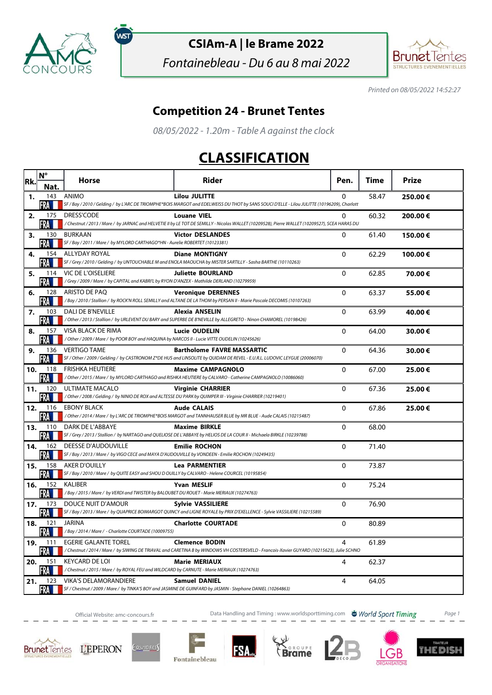

์พรา

## **CSIAm-A | le Brame 2022**

Fontainebleau - Du 6 au 8 mai 2022



Printed on 08/05/2022 14:52:27

## **Competition 24 - Brunet Tentes**

08/05/2022 - 1.20m - Table A against the clock

## **CLASSIFICATION**

| Rk. | $N^{\circ}$    | <b>Horse</b>                                                                                                        | <b>Rider</b>                                                                                                                                                         | Pen.           | Time  | <b>Prize</b> |
|-----|----------------|---------------------------------------------------------------------------------------------------------------------|----------------------------------------------------------------------------------------------------------------------------------------------------------------------|----------------|-------|--------------|
|     | Nat.           |                                                                                                                     |                                                                                                                                                                      |                |       |              |
| 1.  | 143<br>FRA 1   | ANIMO                                                                                                               | <b>Lilou JULITTE</b><br>SF / Bay / 2010 / Gelding / by L'ARC DE TRIOMPHE*BOIS MARGOT and EDELWEISS DU THOT by SANS SOUCI D'ELLE - Lilou JULITTE (10196209), Charlott | $\mathbf{0}$   | 58.47 | 250.00€      |
| 2.  | 175            | DRESS'CODE                                                                                                          | <b>Louane VIEL</b>                                                                                                                                                   | 0              | 60.32 | 200.00€      |
|     | FRA III        |                                                                                                                     | /Chestnut / 2013 / Mare / by JARNAC and HELVETIE II by LE TOT DE SEMILLY - Nicolas WALLET (10209528), Pierre WALLET (10209527), SCEA HARAS DU                        |                |       |              |
| з.  | 130            | BURKAAN                                                                                                             | <b>Victor DESLANDES</b>                                                                                                                                              | 0              | 61.40 | 150.00€      |
|     | FRA            | SF / Bay / 2011 / Mare / by MYLORD CARTHAGO*HN - Aurelie ROBERTET (10123381)                                        |                                                                                                                                                                      |                |       |              |
| 4.  | 154<br>FRA     | <b>ALLYDAY ROYAL</b>                                                                                                | <b>Diane MONTIGNY</b><br>SF / Grey / 2010 / Gelding / by UNTOUCHABLE M and ENOLA MAOUCHA by MISTER SARTILLY - Sasha BARTHE (10110263)                                | $\mathbf 0$    | 62.29 | 100.00€      |
| 5.  |                | 114 VIC DE L'OISELIERE                                                                                              | <b>Juliette BOURLAND</b>                                                                                                                                             | 0              | 62.85 | 70.00€       |
|     | FRA M          | /Grey / 2009 / Mare / by CAPITAL and KABRI'L by RYON D'ANZEX - Mathilde DERLAND (10279959)                          |                                                                                                                                                                      |                |       |              |
| 6.  | 128            | ARISTO DE PAO                                                                                                       | <b>Veronique DERENNES</b>                                                                                                                                            | $\mathbf{0}$   | 63.37 | 55.00€       |
|     | FRA            |                                                                                                                     | /Bay / 2010 / Stallion / by ROCK'N ROLL SEMILLY and ALTANE DE LA THOM by PERSAN II - Marie Pascale DECOMIS (10107263)                                                |                |       |              |
| 7.  | 103            | DALI DE B'NEVILLE                                                                                                   | Alexia ANSELIN                                                                                                                                                       | $\Omega$       | 63.99 | 40.00€       |
|     | FRA III        |                                                                                                                     | /Other/2013/Stallion/by URLEVENT DU BARY and SUPERBE DE B'NEVILLE by ALLEGRETO - Ninon CHAMOREL (10198426)                                                           |                |       |              |
| 8.  | 157<br>FRA III | VISA BLACK DE RIMA<br>/ Other / 2009 / Mare / by POOR BOY and HAQUINA by NARCOS II - Lucie VITTE OUDELIN (10245626) | <b>Lucie OUDELIN</b>                                                                                                                                                 | $\mathbf{0}$   | 64.00 | 30.00€       |
| 9.  | 136            | <b>VERTIGO TAME</b>                                                                                                 | <b>Bartholome FAVRE MASSARTIC</b>                                                                                                                                    | $\mathbf{0}$   | 64.36 | 30.00€       |
|     | FRA            |                                                                                                                     | SF / Other / 2009 / Gelding / by CASTRONOM Z*DE HUS and LINSOLITE by QUIDAM DE REVEL - E.U.R.L. LUDOVIC LEYGUE (20006070)                                            |                |       |              |
| 10. | 118            | <b>FRISHKA HEUTIERE</b>                                                                                             | <b>Maxime CAMPAGNOLO</b>                                                                                                                                             | 0              | 67.00 | 25.00€       |
|     | FRA            |                                                                                                                     | /Other / 2015 / Mare / by MYLORD CARTHAGO and RISHKA HEUTIERE by CALVARO - Catherine CAMPAGNOLO (10086060)                                                           |                |       |              |
| 11. | 120<br>FRA III | <b>ULTIMATE MACALO</b>                                                                                              | <b>Virginie CHARRIER</b><br>/ Other / 2008 / Gelding / by NINIO DE ROX and ALTESSE DU PARK by QUIMPER III - Virginie CHARRIER (10219401)                             | 0              | 67.36 | 25.00€       |
| 12. | 116            | <b>EBONY BLACK</b>                                                                                                  | <b>Aude CALAIS</b>                                                                                                                                                   | 0              | 67.86 | 25.00€       |
|     | <b>FRA</b>     |                                                                                                                     | /Other / 2014 / Mare / by L'ARC DE TRIOMPHE*BOIS MARGOT and TANNHAUSER BLUE by MR BLUE - Aude CALAIS (10215487)                                                      |                |       |              |
| 13. | 110            | DARK DE L'ABBAYE                                                                                                    | <b>Maxime BIRKLE</b>                                                                                                                                                 | $\Omega$       | 68.00 |              |
|     | FRA            |                                                                                                                     | SF / Grey / 2013 / Stallion / by NARTAGO and QUELIOSE DE L'ABBAYE by HELIOS DE LA COUR II - Michaela BIRKLE (10239788)                                               |                |       |              |
| 14. | 162            | <b>DEESSE D'AUDOUVILLE</b>                                                                                          | <b>Emilie ROCHON</b>                                                                                                                                                 | $\Omega$       | 71.40 |              |
|     | FRA<br>158     | SF / Bay / 2013 / Mare / by VIGO CECE and MAYA D'AUDOUVILLE by VONDEEN - Emilie ROCHON (10249435)<br>AKER D'OUILLY  |                                                                                                                                                                      |                |       |              |
| 15. | FRA M          | SF / Bay / 2010 / Mare / by QUITE EASY and SHOU D OUILLY by CALVARO - Helene COURCEL (10195854)                     | <b>Lea PARMENTIER</b>                                                                                                                                                | $\mathbf 0$    | 73.87 |              |
| 16. | 152            | KALIBER                                                                                                             | <b>Yvan MESLIF</b>                                                                                                                                                   | $\mathbf{0}$   | 75.24 |              |
|     | FRA III        | / Bay / 2015 / Mare / by VERDI and TWISTER by BALOUBET DU ROUET - Marie MERIAUX (10274763)                          |                                                                                                                                                                      |                |       |              |
| 17. | 173            | DOUCE NUIT D'AMOUR                                                                                                  | <b>Sylvie VASSILIERE</b>                                                                                                                                             | $\Omega$       | 76.90 |              |
|     | FRA            |                                                                                                                     | SF / Bay / 2013 / Mare / by QUAPRICE BOIMARGOT QUINCY and LIGNE ROYALE by PRIX D'EXELLENCE - Sylvie VASSILIERE (10215589)                                            |                |       |              |
| 18. | 121<br>FRA I   | <b>JARINA</b><br>/Bay / 2014 / Mare / - Charlotte COURTADE (10009755)                                               | <b>Charlotte COURTADE</b>                                                                                                                                            | 0              | 80.89 |              |
| 19. | 111            | EGERIE GALANTE TOREL                                                                                                | <b>Clemence BODIN</b>                                                                                                                                                | 4              | 61.89 |              |
|     | FRA            |                                                                                                                     | /Chestnut/2014/Mare/ by SIWING DE TRIAVAL and CARETINA B by WINDOWS VH COSTERSVELD - Francois-Xavier GUYARD (10215623), Julie SCHNO                                  |                |       |              |
| 20. | 151            | <b>KEYCARD DE LOI</b>                                                                                               | <b>Marie MERIAUX</b>                                                                                                                                                 | 4              | 62.37 |              |
|     | FRA            | /Chestnut / 2015 / Mare / by ROYAL FEU and WILDCARD by CARNUTE - Marie MERIAUX (10274763)                           |                                                                                                                                                                      |                |       |              |
| 21. | 123            | <b>VIKA'S DELAMORANDIERE</b>                                                                                        | <b>Samuel DANIEL</b><br>SF / Chestnut / 2009 / Mare / by TINKA'S BOY and JASMINE DE GUINFARD by JASMIN - Stephane DANIEL (10264863)                                  | $\overline{4}$ | 64.05 |              |
|     | FRA <b>H</b>   |                                                                                                                     |                                                                                                                                                                      |                |       |              |

Official Website: amc-concours.fr **Data Handling and Timing : www.worldsporttiming.com** World Sport Timing Page 1